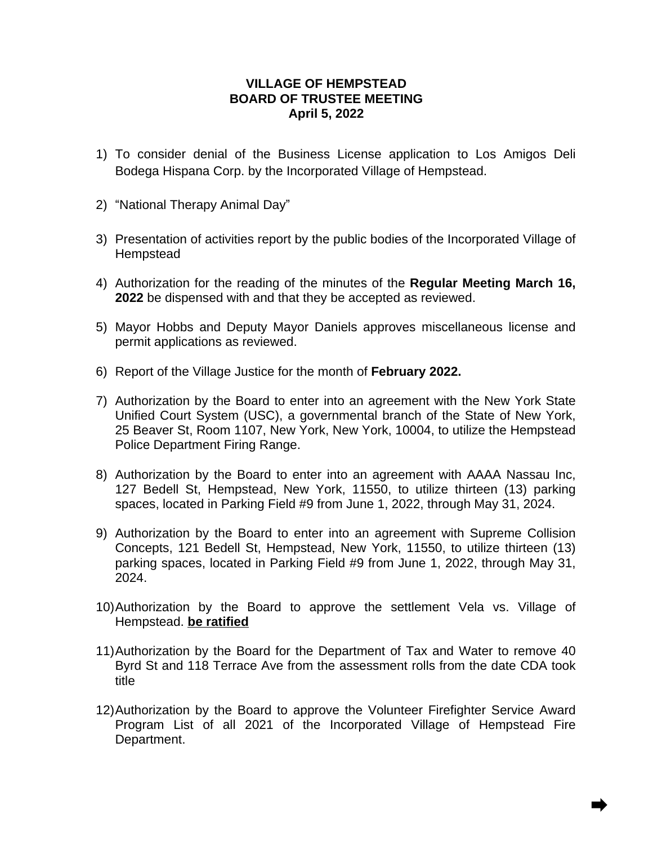## **VILLAGE OF HEMPSTEAD BOARD OF TRUSTEE MEETING April 5, 2022**

- 1) To consider denial of the Business License application to Los Amigos Deli Bodega Hispana Corp. by the Incorporated Village of Hempstead.
- 2) "National Therapy Animal Day"
- 3) Presentation of activities report by the public bodies of the Incorporated Village of **Hempstead**
- 4) Authorization for the reading of the minutes of the **Regular Meeting March 16, 2022** be dispensed with and that they be accepted as reviewed.
- 5) Mayor Hobbs and Deputy Mayor Daniels approves miscellaneous license and permit applications as reviewed.
- 6) Report of the Village Justice for the month of **February 2022.**
- 7) Authorization by the Board to enter into an agreement with the New York State Unified Court System (USC), a governmental branch of the State of New York, 25 Beaver St, Room 1107, New York, New York, 10004, to utilize the Hempstead Police Department Firing Range.
- 8) Authorization by the Board to enter into an agreement with AAAA Nassau Inc, 127 Bedell St, Hempstead, New York, 11550, to utilize thirteen (13) parking spaces, located in Parking Field #9 from June 1, 2022, through May 31, 2024.
- 9) Authorization by the Board to enter into an agreement with Supreme Collision Concepts, 121 Bedell St, Hempstead, New York, 11550, to utilize thirteen (13) parking spaces, located in Parking Field #9 from June 1, 2022, through May 31, 2024.
- 10)Authorization by the Board to approve the settlement Vela vs. Village of Hempstead. **be ratified**
- 11)Authorization by the Board for the Department of Tax and Water to remove 40 Byrd St and 118 Terrace Ave from the assessment rolls from the date CDA took title
- 12)Authorization by the Board to approve the Volunteer Firefighter Service Award Program List of all 2021 of the Incorporated Village of Hempstead Fire Department.